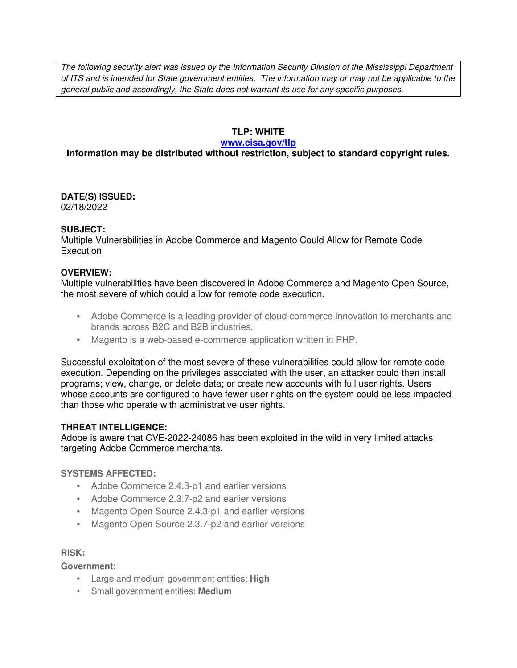The following security alert was issued by the Information Security Division of the Mississippi Department of ITS and is intended for State government entities. The information may or may not be applicable to the general public and accordingly, the State does not warrant its use for any specific purposes.

## **TLP: WHITE**

#### **www.cisa.gov/tlp**

# **Information may be distributed without restriction, subject to standard copyright rules.**

**DATE(S) ISSUED:** 02/18/2022

#### **SUBJECT:**

Multiple Vulnerabilities in Adobe Commerce and Magento Could Allow for Remote Code **Execution** 

### **OVERVIEW:**

Multiple vulnerabilities have been discovered in Adobe Commerce and Magento Open Source, the most severe of which could allow for remote code execution.

- Adobe Commerce is a leading provider of cloud commerce innovation to merchants and brands across B2C and B2B industries.
- Magento is a web-based e-commerce application written in PHP.

Successful exploitation of the most severe of these vulnerabilities could allow for remote code execution. Depending on the privileges associated with the user, an attacker could then install programs; view, change, or delete data; or create new accounts with full user rights. Users whose accounts are configured to have fewer user rights on the system could be less impacted than those who operate with administrative user rights.

### **THREAT INTELLIGENCE:**

Adobe is aware that CVE-2022-24086 has been exploited in the wild in very limited attacks targeting Adobe Commerce merchants.

# **SYSTEMS AFFECTED:**

- Adobe Commerce 2.4.3-p1 and earlier versions
- Adobe Commerce 2.3.7-p2 and earlier versions
- Magento Open Source 2.4.3-p1 and earlier versions
- Magento Open Source 2.3.7-p2 and earlier versions

#### **RISK:**

**Government:**

- Large and medium government entities: **High**
- Small government entities: **Medium**